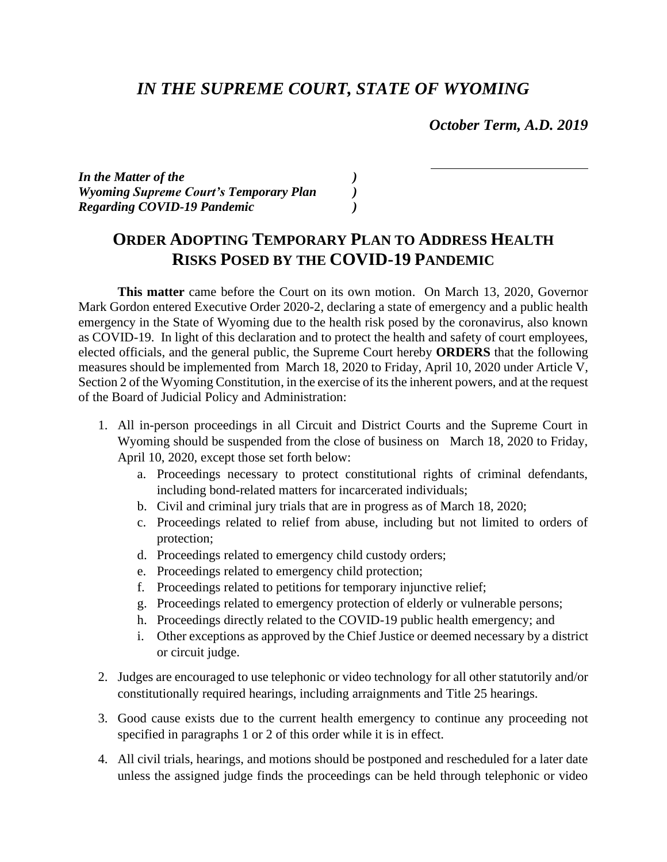## *IN THE SUPREME COURT, STATE OF WYOMING*

 *October Term, A.D. 2019*

*In the Matter of the ) Wyoming Supreme Court's Temporary Plan ) Regarding COVID-19 Pandemic )*

## **ORDER ADOPTING TEMPORARY PLAN TO ADDRESS HEALTH RISKS POSED BY THE COVID-19 PANDEMIC**

**This matter** came before the Court on its own motion. On March 13, 2020, Governor Mark Gordon entered Executive Order 2020-2, declaring a state of emergency and a public health emergency in the State of Wyoming due to the health risk posed by the coronavirus, also known as COVID-19. In light of this declaration and to protect the health and safety of court employees, elected officials, and the general public, the Supreme Court hereby **ORDERS** that the following measures should be implemented from March 18, 2020 to Friday, April 10, 2020 under Article V, Section 2 of the Wyoming Constitution, in the exercise of its the inherent powers, and at the request of the Board of Judicial Policy and Administration:

- 1. All in-person proceedings in all Circuit and District Courts and the Supreme Court in Wyoming should be suspended from the close of business on March 18, 2020 to Friday, April 10, 2020, except those set forth below:
	- a. Proceedings necessary to protect constitutional rights of criminal defendants, including bond-related matters for incarcerated individuals;
	- b. Civil and criminal jury trials that are in progress as of March 18, 2020;
	- c. Proceedings related to relief from abuse, including but not limited to orders of protection;
	- d. Proceedings related to emergency child custody orders;
	- e. Proceedings related to emergency child protection;
	- f. Proceedings related to petitions for temporary injunctive relief;
	- g. Proceedings related to emergency protection of elderly or vulnerable persons;
	- h. Proceedings directly related to the COVID-19 public health emergency; and
	- i. Other exceptions as approved by the Chief Justice or deemed necessary by a district or circuit judge.
- 2. Judges are encouraged to use telephonic or video technology for all other statutorily and/or constitutionally required hearings, including arraignments and Title 25 hearings.
- 3. Good cause exists due to the current health emergency to continue any proceeding not specified in paragraphs 1 or 2 of this order while it is in effect.
- 4. All civil trials, hearings, and motions should be postponed and rescheduled for a later date unless the assigned judge finds the proceedings can be held through telephonic or video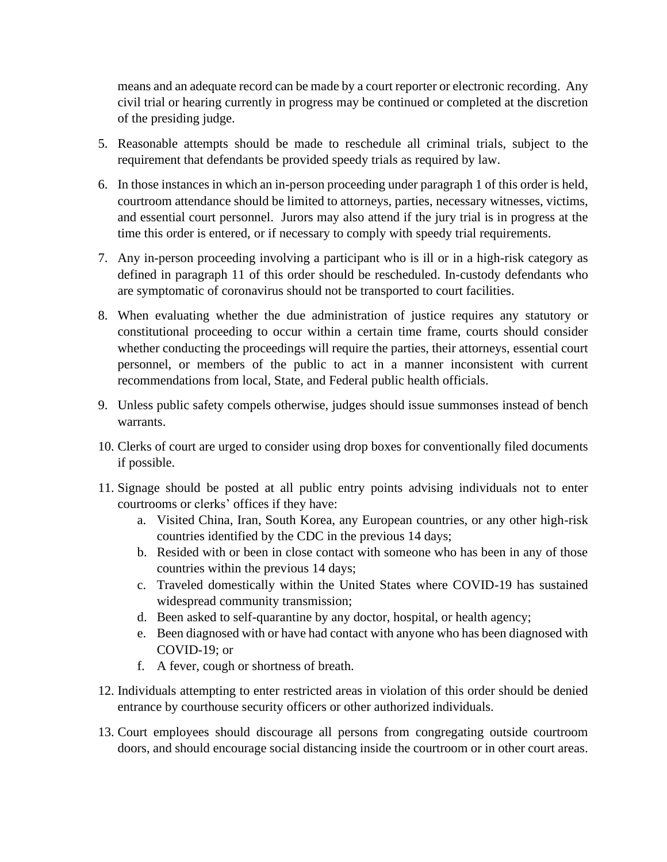means and an adequate record can be made by a court reporter or electronic recording. Any civil trial or hearing currently in progress may be continued or completed at the discretion of the presiding judge.

- 5. Reasonable attempts should be made to reschedule all criminal trials, subject to the requirement that defendants be provided speedy trials as required by law.
- 6. In those instances in which an in-person proceeding under paragraph 1 of this order is held, courtroom attendance should be limited to attorneys, parties, necessary witnesses, victims, and essential court personnel. Jurors may also attend if the jury trial is in progress at the time this order is entered, or if necessary to comply with speedy trial requirements.
- 7. Any in-person proceeding involving a participant who is ill or in a high-risk category as defined in paragraph 11 of this order should be rescheduled. In-custody defendants who are symptomatic of coronavirus should not be transported to court facilities.
- 8. When evaluating whether the due administration of justice requires any statutory or constitutional proceeding to occur within a certain time frame, courts should consider whether conducting the proceedings will require the parties, their attorneys, essential court personnel, or members of the public to act in a manner inconsistent with current recommendations from local, State, and Federal public health officials.
- 9. Unless public safety compels otherwise, judges should issue summonses instead of bench warrants.
- 10. Clerks of court are urged to consider using drop boxes for conventionally filed documents if possible.
- 11. Signage should be posted at all public entry points advising individuals not to enter courtrooms or clerks' offices if they have:
	- a. Visited China, Iran, South Korea, any European countries, or any other high-risk countries identified by the CDC in the previous 14 days;
	- b. Resided with or been in close contact with someone who has been in any of those countries within the previous 14 days;
	- c. Traveled domestically within the United States where COVID-19 has sustained widespread community transmission;
	- d. Been asked to self-quarantine by any doctor, hospital, or health agency;
	- e. Been diagnosed with or have had contact with anyone who has been diagnosed with COVID-19; or
	- f. A fever, cough or shortness of breath.
- 12. Individuals attempting to enter restricted areas in violation of this order should be denied entrance by courthouse security officers or other authorized individuals.
- 13. Court employees should discourage all persons from congregating outside courtroom doors, and should encourage social distancing inside the courtroom or in other court areas.